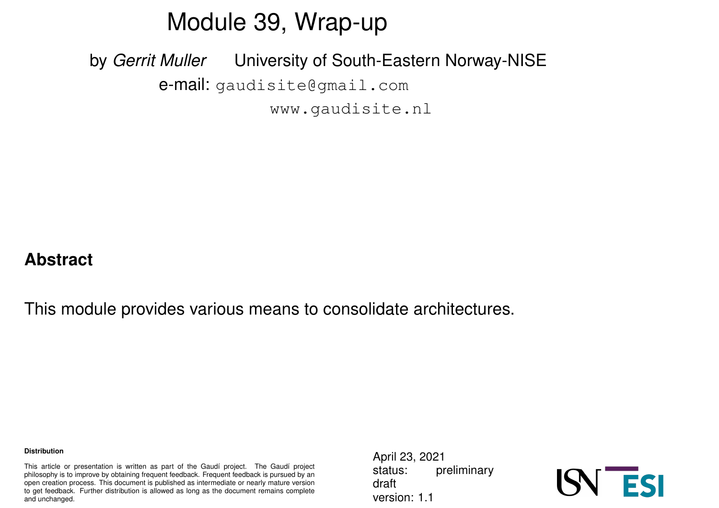### Module 39, Wrap-up

by *Gerrit Muller* University of South-Eastern Norway-NISE e-mail: gaudisite@gmail.com www.gaudisite.nl

#### **Abstract**

This module provides various means to consolidate architectures.

#### **Distribution**

This article or presentation is written as part of the Gaudí project. The Gaudí project philosophy is to improve by obtaining frequent feedback. Frequent feedback is pursued by an open creation process. This document is published as intermediate or nearly mature version to get feedback. Further distribution is allowed as long as the document remains complete and unchanged.

April 23, 2021 status: preliminary draft version: 1.1

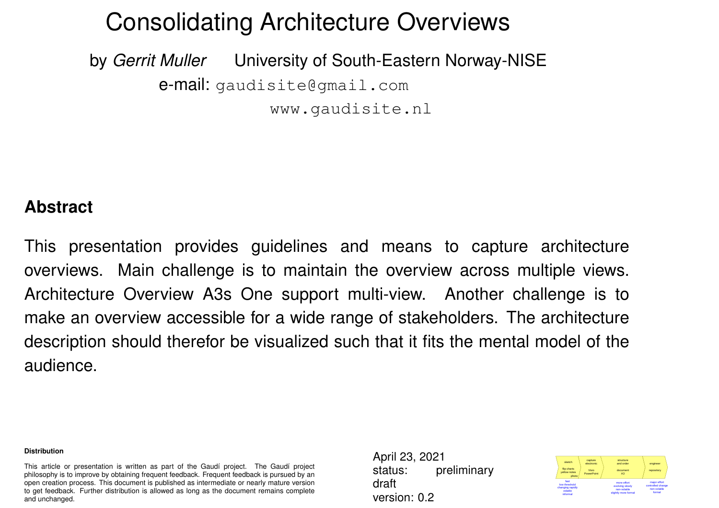### Consolidating Architecture Overviews

by *Gerrit Muller* University of South-Eastern Norway-NISE e-mail: gaudisite@gmail.com www.gaudisite.nl

#### **Abstract**

This presentation provides guidelines and means to capture architecture overviews. Main challenge is to maintain the overview across multiple views. Architecture Overview A3s One support multi-view. Another challenge is to make an overview accessible for a wide range of stakeholders. The architecture description should therefor be visualized such that it fits the mental model of the audience.

#### **Distribution**

This article or presentation is written as part of the Gaudí project. The Gaudí project philosophy is to improve by obtaining frequent feedback. Frequent feedback is pursued by an open creation process. This document is published as intermediate or nearly mature version to get feedback. Further distribution is allowed as long as the document remains complete and unchanged.

April 23, 2021 status: preliminary draft version: 0.2

| sketch<br>flio charts<br>vellow notes<br>photo                    | capture<br>electronic.<br>Visio<br>PowerPoint | structure<br>and order<br>document<br>A3                               | engineer<br>repository                                      |
|-------------------------------------------------------------------|-----------------------------------------------|------------------------------------------------------------------------|-------------------------------------------------------------|
| fast<br>low threshold<br>changing rapidly<br>volatile<br>informal |                                               | more effort<br>evolving slowly<br>non-volatile<br>slightly more formal | major effort<br>controlled change<br>non-volatile<br>formal |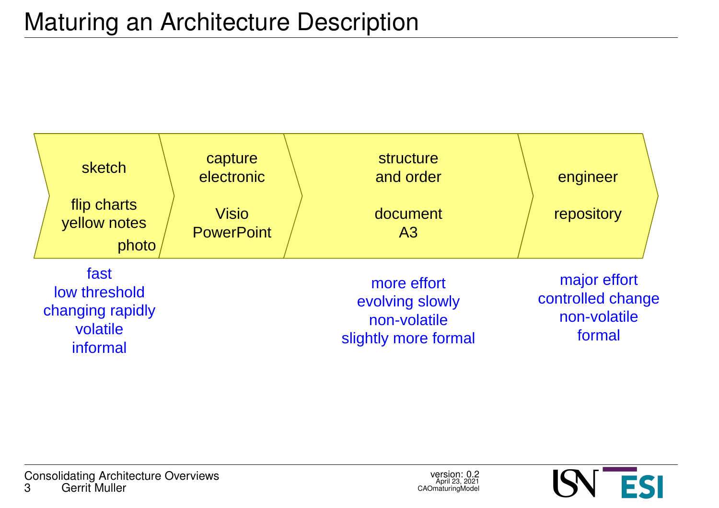

![](_page_2_Picture_4.jpeg)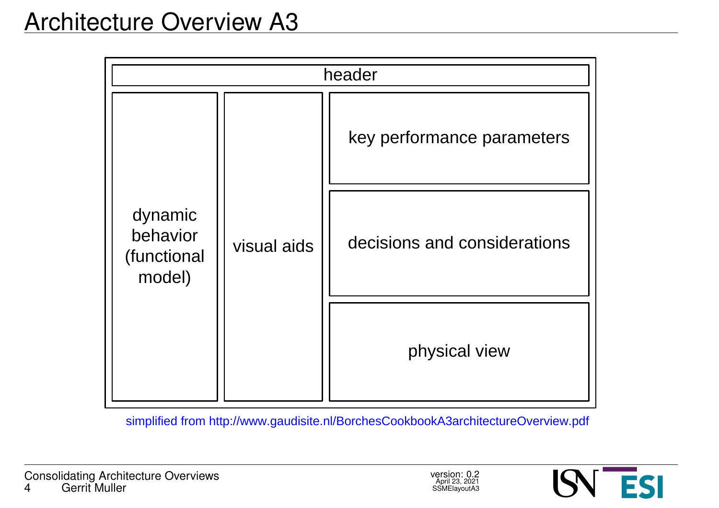| header                                       |             |                              |  |
|----------------------------------------------|-------------|------------------------------|--|
| dynamic<br>behavior<br>(functional<br>model) | visual aids | key performance parameters   |  |
|                                              |             | decisions and considerations |  |
|                                              |             | physical view                |  |

simplified from http://www.gaudisite.nl/BorchesCookbookA3architectureOverview.pdf

![](_page_3_Picture_5.jpeg)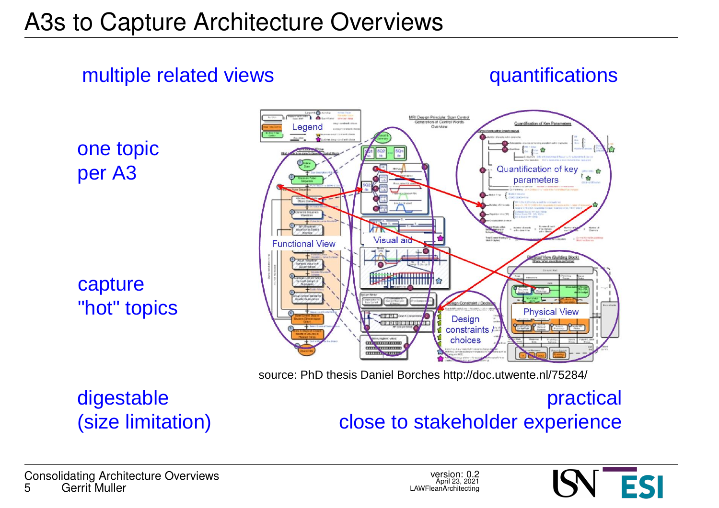### multiple related views

quantifications

one topic per A3

capture "hot" topics

![](_page_4_Figure_5.jpeg)

source: PhD thesis Daniel Borches http://doc.utwente.nl/75284/

### digestable (size limitation)

### practical close to stakeholder experience

**Consolidating Architecture Overviews**<br>5 **Gerrit Muller** Gerrit Muller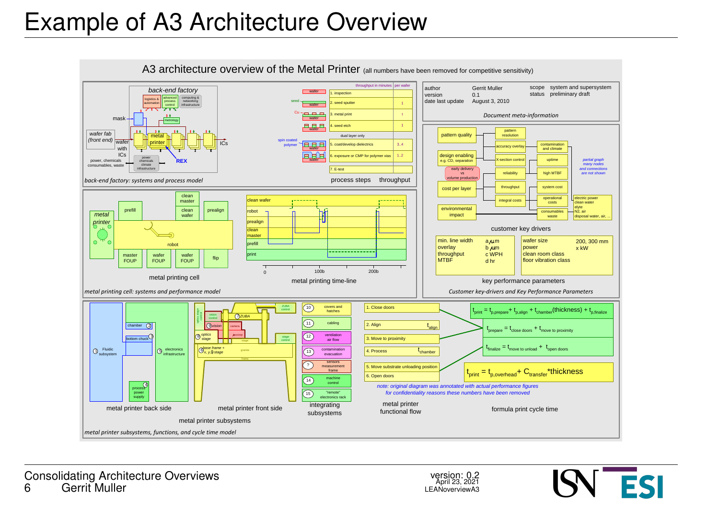## Example of A3 Architecture Overview

![](_page_5_Figure_1.jpeg)

![](_page_5_Picture_4.jpeg)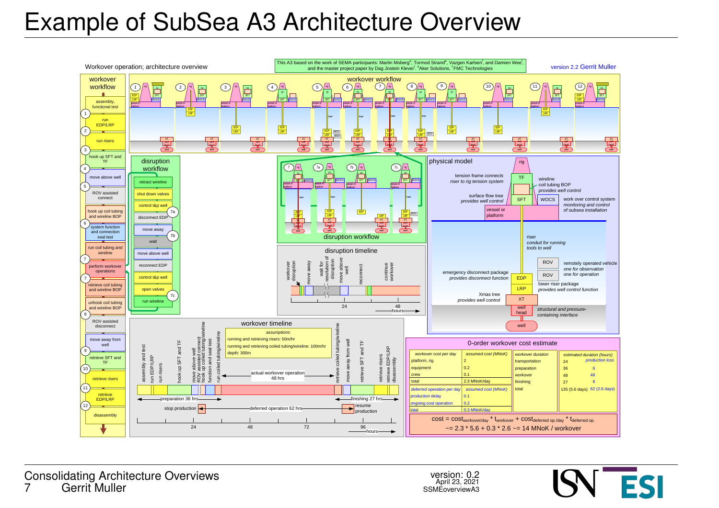## Example of SubSea A3 Architecture Overview

![](_page_6_Figure_1.jpeg)

![](_page_6_Picture_4.jpeg)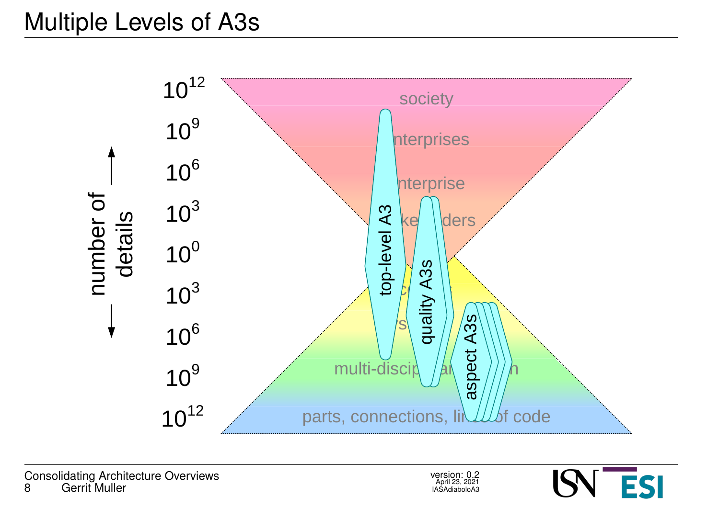## Multiple Levels of A3s

![](_page_7_Figure_1.jpeg)

![](_page_7_Picture_4.jpeg)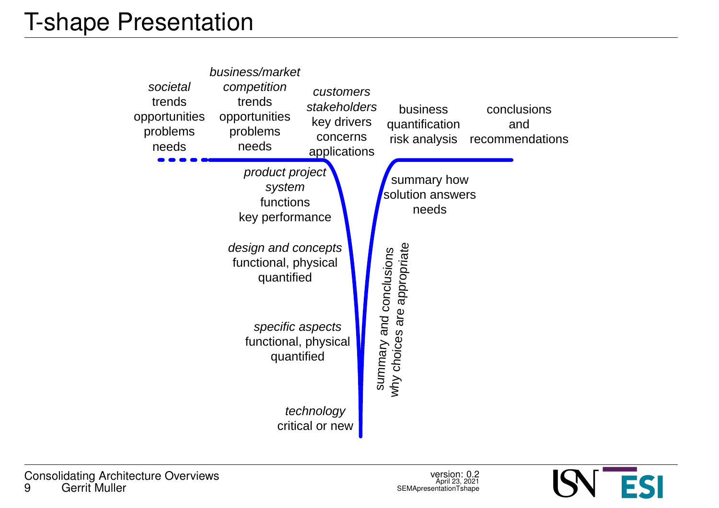![](_page_8_Figure_1.jpeg)

![](_page_8_Picture_4.jpeg)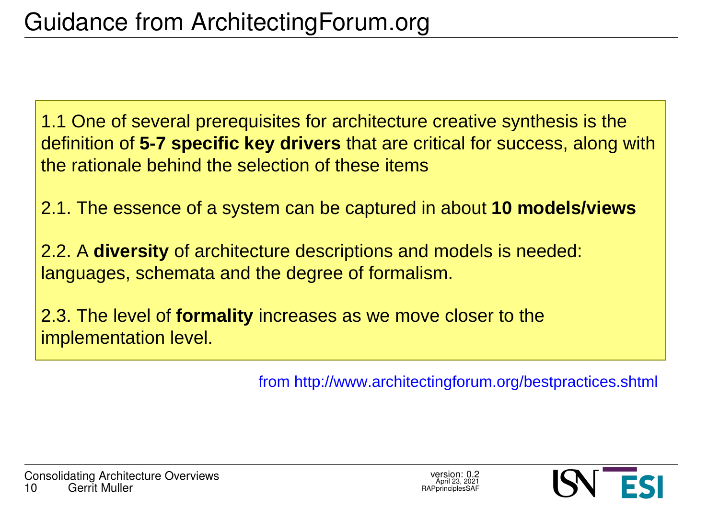1.1 One of several prerequisites for architecture creative synthesis is the definition of **5-7 specific key drivers** that are critical for success, along with the rationale behind the selection of these items

2.1. The essence of a system can be captured in about **10 models/views**

2.2. A **diversity** of architecture descriptions and models is needed: languages, schemata and the degree of formalism.

2.3. The level of **formality** increases as we move closer to the implementation level.

from http://www.architectingforum.org/bestpractices.shtml

![](_page_9_Picture_8.jpeg)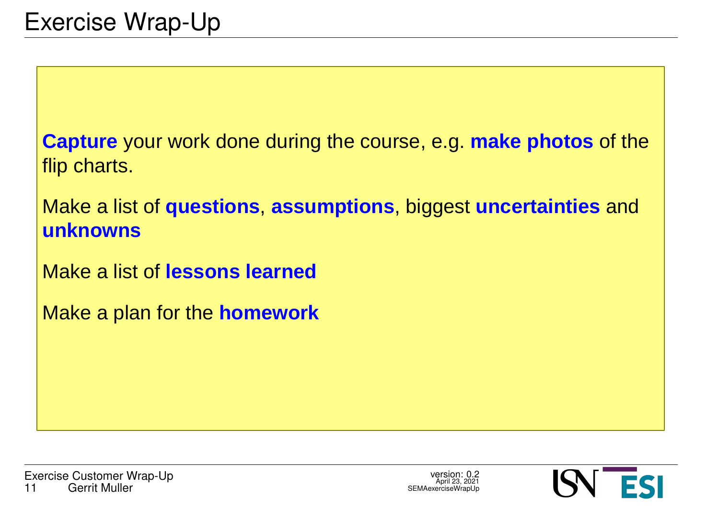**Capture** your work done during the course, e.g. **make photos** of the flip charts.

Make a list of **questions**, **assumptions**, biggest **uncertainties** and **unknowns**

Make a list of **lessons learned**

Make a plan for the **homework**

![](_page_10_Picture_7.jpeg)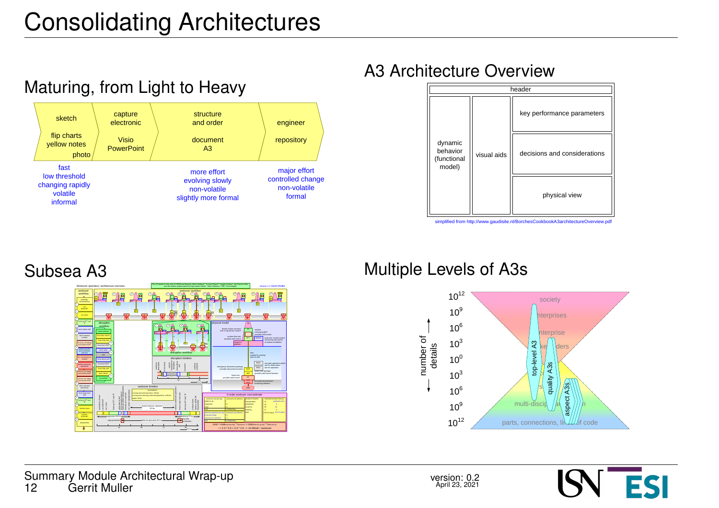![](_page_11_Figure_1.jpeg)

#### A3 Architecture Overview

![](_page_11_Figure_3.jpeg)

simplified from http://www.gaudisite.nl/BorchesCookbookA3architectureOverview.pdf

#### Subsea A3

![](_page_11_Picture_6.jpeg)

#### Multiple Levels of A3s

![](_page_11_Figure_8.jpeg)

![](_page_11_Picture_11.jpeg)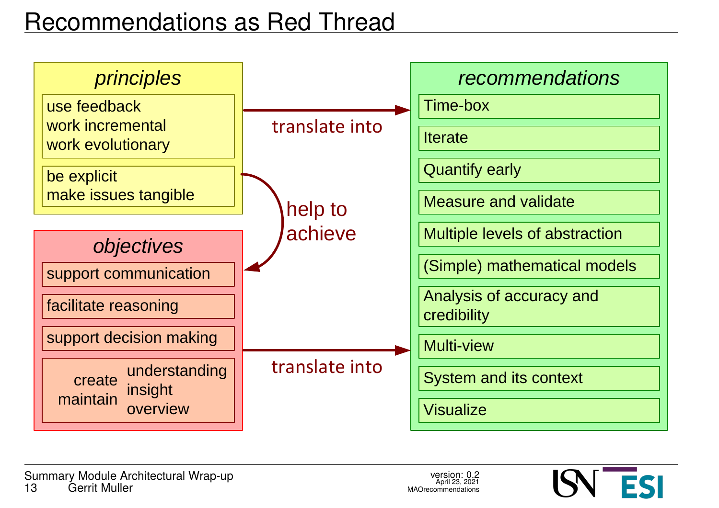# Recommendations as Red Thread

![](_page_12_Figure_1.jpeg)

![](_page_12_Picture_4.jpeg)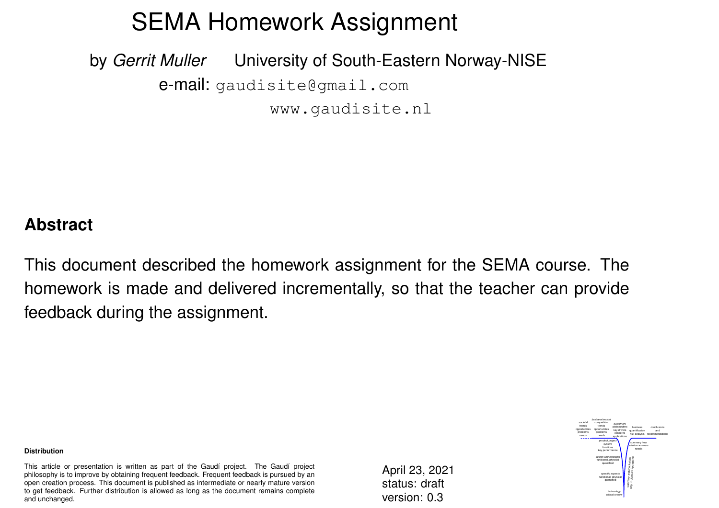## SEMA Homework Assignment

by *Gerrit Muller* University of South-Eastern Norway-NISE e-mail: gaudisite@gmail.com www.gaudisite.nl

#### **Abstract**

This document described the homework assignment for the SEMA course. The homework is made and delivered incrementally, so that the teacher can provide feedback during the assignment.

#### **Distribution**

This article or presentation is written as part of the Gaudí project. The Gaudí project philosophy is to improve by obtaining frequent feedback. Frequent feedback is pursued by an open creation process. This document is published as intermediate or nearly mature version to get feedback. Further distribution is allowed as long as the document remains complete and unchanged.

April 23, 2021 status: draft version: 0.3

![](_page_13_Picture_7.jpeg)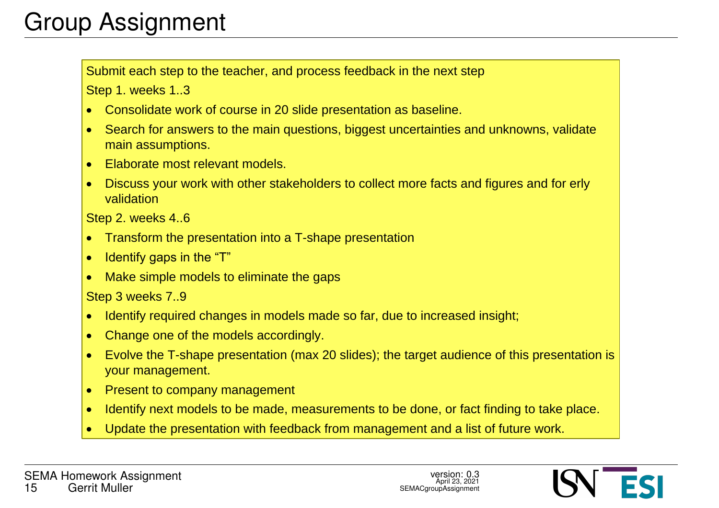# Group Assignment

Submit each step to the teacher, and process feedback in the next step

Step 1. weeks 1..3

- · Consolidate work of course in 20 slide presentation as baseline.
- · Search for answers to the main questions, biggest uncertainties and unknowns, validate main assumptions.
- · Elaborate most relevant models.
- · Discuss your work with other stakeholders to collect more facts and figures and for erly validation

Step 2. weeks 4..6

- · Transform the presentation into a T-shape presentation
- Identify gaps in the "T"
- Make simple models to eliminate the gaps

Step 3 weeks 7..9

- · Identify required changes in models made so far, due to increased insight;
- Change one of the models accordingly.
- · Evolve the T-shape presentation (max 20 slides); the target audience of this presentation is your management.
- Present to company management
- · Identify next models to be made, measurements to be done, or fact finding to take place.
- Update the presentation with feedback from management and a list of future work.

![](_page_14_Picture_20.jpeg)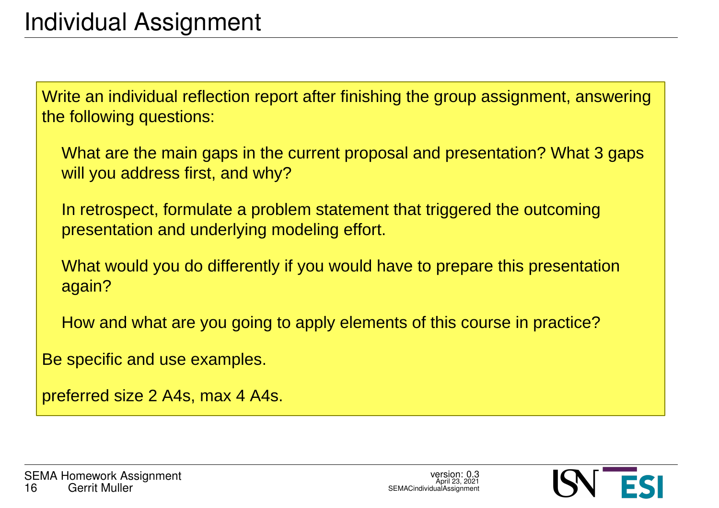Write an individual reflection report after finishing the group assignment, answering the following questions:

What are the main gaps in the current proposal and presentation? What 3 gaps will you address first, and why?

In retrospect, formulate a problem statement that triggered the outcoming presentation and underlying modeling effort.

What would you do differently if you would have to prepare this presentation again?

How and what are you going to apply elements of this course in practice?

Be specific and use examples.

preferred size 2 A4s, max 4 A4s.

![](_page_15_Picture_10.jpeg)